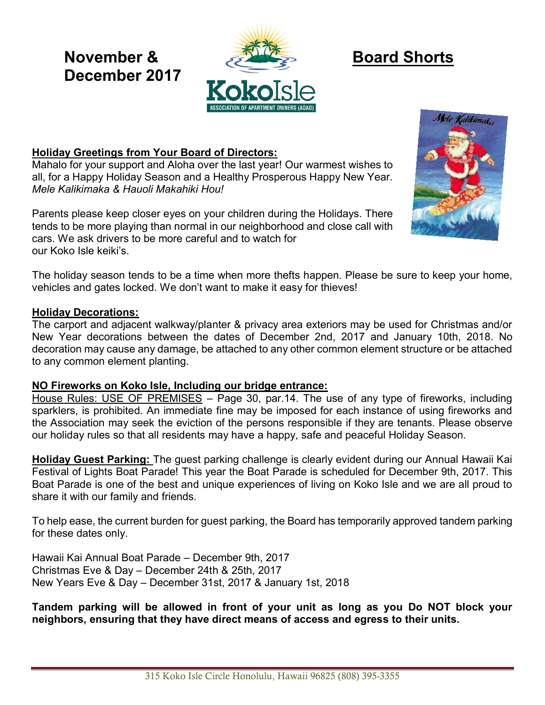# **December 2017**



# **Holiday Greetings from Your Board of Directors:**

Mahalo for your support and Aloha over the last year! Our warmest wishes to all, for a Happy Holiday Season and a Healthy Prosperous Happy New Year. *Mele Kalikimaka & Hauoli Makahiki Hou!*

Parents please keep closer eyes on your children during the Holidays. There tends to be more playing than normal in our neighborhood and close call with cars. We ask drivers to be more careful and to watch for our Koko Isle keiki's.



The holiday season tends to be a time when more thefts happen. Please be sure to keep your home, vehicles and gates locked. We don't want to make it easy for thieves!

#### **Holiday Decorations:**

The carport and adjacent walkway/planter & privacy area exteriors may be used for Christmas and/or New Year decorations between the dates of December 2nd, 2017 and January 10th, 2018. No decoration may cause any damage, be attached to any other common element structure or be attached to any common element planting.

#### **NO Fireworks on Koko Isle, Including our bridge entrance:**

House Rules: USE OF PREMISES – Page 30, par.14. The use of any type of fireworks, including sparklers, is prohibited. An immediate fine may be imposed for each instance of using fireworks and the Association may seek the eviction of the persons responsible if they are tenants. Please observe our holiday rules so that all residents may have a happy, safe and peaceful Holiday Season.

**Holiday Guest Parking:** The guest parking challenge is clearly evident during our Annual Hawaii Kai Festival of Lights Boat Parade! This year the Boat Parade is scheduled for December 9th, 2017. This Boat Parade is one of the best and unique experiences of living on Koko Isle and we are all proud to share it with our family and friends.

To help ease, the current burden for guest parking, the Board has temporarily approved tandem parking for these dates only.

Hawaii Kai Annual Boat Parade – December 9th, 2017 Christmas Eve & Day – December 24th & 25th, 2017 New Years Eve & Day – December 31st, 2017 & January 1st, 2018

**Tandem parking will be allowed in front of your unit as long as you Do NOT block your neighbors, ensuring that they have direct means of access and egress to their units.**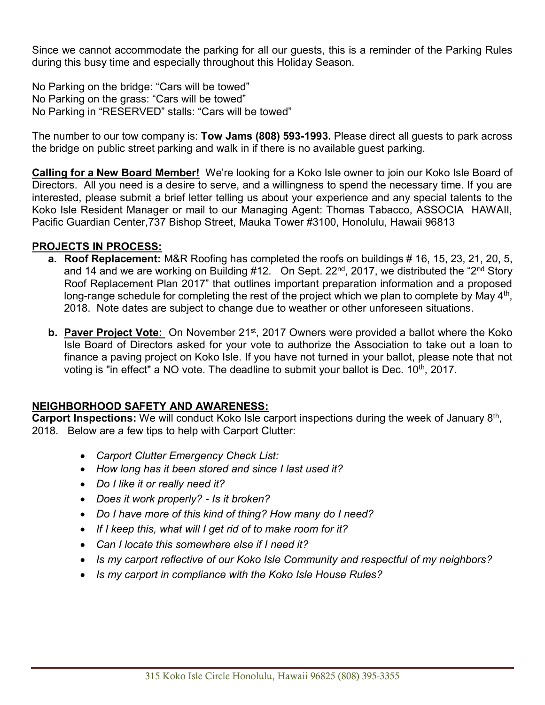Since we cannot accommodate the parking for all our guests, this is a reminder of the Parking Rules during this busy time and especially throughout this Holiday Season.

No Parking on the bridge: "Cars will be towed" No Parking on the grass: "Cars will be towed" No Parking in "RESERVED" stalls: "Cars will be towed"

The number to our tow company is: **Tow Jams (808) 593-1993.** Please direct all guests to park across the bridge on public street parking and walk in if there is no available guest parking.

**Calling for a New Board Member!** We're looking for a Koko Isle owner to join our Koko Isle Board of Directors. All you need is a desire to serve, and a willingness to spend the necessary time. If you are interested, please submit a brief letter telling us about your experience and any special talents to the Koko Isle Resident Manager or mail to our Managing Agent: Thomas Tabacco, ASSOCIA HAWAII, Pacific Guardian Center,737 Bishop Street, Mauka Tower #3100, Honolulu, Hawaii 96813

# **PROJECTS IN PROCESS:**

- **a. Roof Replacement:** M&R Roofing has completed the roofs on buildings # 16, 15, 23, 21, 20, 5, and 14 and we are working on Building #12. On Sept.  $22^{nd}$ ,  $2017$ , we distributed the "2<sup>nd</sup> Story Roof Replacement Plan 2017" that outlines important preparation information and a proposed long-range schedule for completing the rest of the project which we plan to complete by May  $4<sup>th</sup>$ , 2018. Note dates are subject to change due to weather or other unforeseen situations.
- **b. Paver Project Vote:** On November 21<sup>st</sup>, 2017 Owners were provided a ballot where the Koko Isle Board of Directors asked for your vote to authorize the Association to take out a loan to finance a paving project on Koko Isle. If you have not turned in your ballot, please note that not voting is "in effect" a NO vote. The deadline to submit your ballot is Dec.  $10<sup>th</sup>$ , 2017.

# **NEIGHBORHOOD SAFETY AND AWARENESS:**

Carport Inspections: We will conduct Koko Isle carport inspections during the week of January 8<sup>th</sup>, 2018. Below are a few tips to help with Carport Clutter:

- *Carport Clutter Emergency Check List:*
- *How long has it been stored and since I last used it?*
- *Do I like it or really need it?*
- *Does it work properly? - Is it broken?*
- *Do I have more of this kind of thing? How many do I need?*
- *If I keep this, what will I get rid of to make room for it?*
- *Can I locate this somewhere else if I need it?*
- *Is my carport reflective of our Koko Isle Community and respectful of my neighbors?*
- *Is my carport in compliance with the Koko Isle House Rules?*